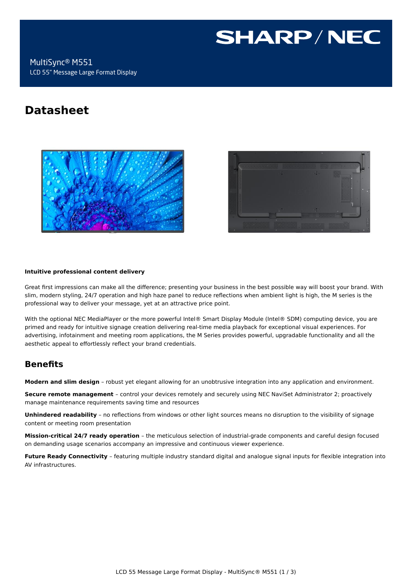# **SHARP/NEC**

# **Datasheet**





#### **Intuitive professional content delivery**

Great first impressions can make all the difference; presenting your business in the best possible way will boost your brand. With slim, modern styling, 24/7 operation and high haze panel to reduce reflections when ambient light is high, the M series is the professional way to deliver your message, yet at an attractive price point.

With the optional NEC MediaPlayer or the more powerful Intel® Smart Display Module (Intel® SDM) computing device, you are primed and ready for intuitive signage creation delivering real-time media playback for exceptional visual experiences. For advertising, infotainment and meeting room applications, the M Series provides powerful, upgradable functionality and all the aesthetic appeal to effortlessly reflect your brand credentials.

# **Benefits**

**Modern and slim design** – robust yet elegant allowing for an unobtrusive integration into any application and environment.

**Secure remote management** – control your devices remotely and securely using NEC NaviSet Administrator 2; proactively manage maintenance requirements saving time and resources

**Unhindered readability** – no reflections from windows or other light sources means no disruption to the visibility of signage content or meeting room presentation

**Mission-critical 24/7 ready operation** – the meticulous selection of industrial-grade components and careful design focused on demanding usage scenarios accompany an impressive and continuous viewer experience.

**Future Ready Connectivity** – featuring multiple industry standard digital and analogue signal inputs for flexible integration into AV infrastructures.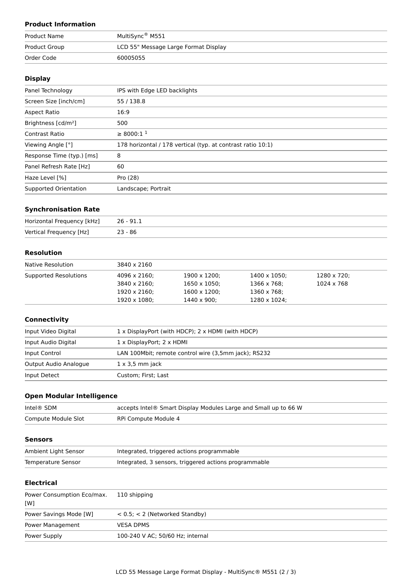# **Product Information**

| <b>Product Name</b> | MultiSync® M551                      |
|---------------------|--------------------------------------|
| Product Group       | LCD 55" Message Large Format Display |
| Order Code          | 60005055                             |

## **Display**

| Panel Technology                | IPS with Edge LED backlights                                |  |
|---------------------------------|-------------------------------------------------------------|--|
| Screen Size [inch/cm]           | 55 / 138.8                                                  |  |
| Aspect Ratio                    | 16:9                                                        |  |
| Brightness [cd/m <sup>2</sup> ] | 500                                                         |  |
| <b>Contrast Ratio</b>           | $\geq 8000:1^1$                                             |  |
| Viewing Angle [°]               | 178 horizontal / 178 vertical (typ. at contrast ratio 10:1) |  |
| Response Time (typ.) [ms]       | 8                                                           |  |
| Panel Refresh Rate [Hz]         | 60                                                          |  |
| Haze Level [%]                  | Pro (28)                                                    |  |
| Supported Orientation           | Landscape; Portrait                                         |  |

## **Synchronisation Rate**

| Horizontal Frequency [kHz] | $26 - 91.1$ |
|----------------------------|-------------|
| Vertical Frequency [Hz]    | 23 - 86     |

#### **Resolution**

| Native Resolution     | 3840 x 2160          |                      |              |             |  |
|-----------------------|----------------------|----------------------|--------------|-------------|--|
| Supported Resolutions | 4096 x 2160;         | 1900 x 1200;         | 1400 x 1050; | 1280 x 720; |  |
|                       | 3840 x 2160;         | $1650 \times 1050$ ; | 1366 x 768;  | 1024 x 768  |  |
|                       | $1920 \times 2160$ : | $1600 \times 1200$ ; | 1360 x 768;  |             |  |
|                       | 1920 x 1080;         | 1440 x 900;          | 1280 x 1024: |             |  |

## **Connectivity**

| Input Video Digital   | 1 x DisplayPort (with HDCP); 2 x HDMI (with HDCP)    |  |
|-----------------------|------------------------------------------------------|--|
| Input Audio Digital   | 1 x DisplayPort; 2 x HDMI                            |  |
| Input Control         | LAN 100Mbit; remote control wire (3,5mm jack); RS232 |  |
| Output Audio Analogue | $1 \times 3.5$ mm jack                               |  |
| Input Detect          | Custom; First; Last                                  |  |

# **Open Modular Intelligence**

| Intel <sup>®</sup> SDM | accepts Intel® Smart Display Modules Large and Small up to 66 W |
|------------------------|-----------------------------------------------------------------|
| Compute Module Slot    | RPi Compute Module 4                                            |

#### **Sensors**

| Ambient Light Sensor | Integrated, triggered actions programmable            |
|----------------------|-------------------------------------------------------|
| Temperature Sensor   | Integrated, 3 sensors, triggered actions programmable |

# **Electrical**

| Power Consumption Eco/max.<br>[W] | 110 shipping                        |
|-----------------------------------|-------------------------------------|
| Power Savings Mode [W]            | $< 0.5$ ; $< 2$ (Networked Standby) |
| Power Management                  | <b>VESA DPMS</b>                    |
| Power Supply                      | 100-240 V AC; 50/60 Hz; internal    |